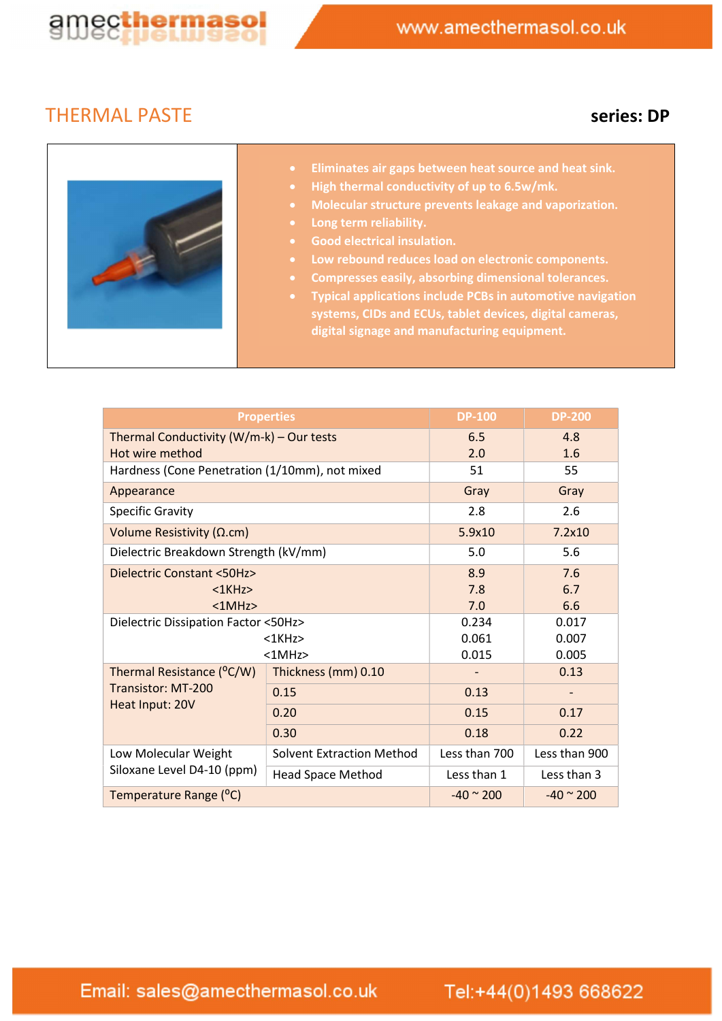

## THERMAL PASTE SERIES: DP



- Eliminates air gaps between heat source and heat sink.
- High thermal conductivity of up to 6.5w/mk.
- Molecular structure prevents leakage and vaporization.
- Long term reliability.
- Good electrical insulation.
- Low rebound reduces load on electronic components.
- Compresses easily, absorbing dimensional tolerances.
- Typical applications include PCBs in automotive navigation systems, CIDs and ECUs, tablet devices, digital cameras, digital signage and manufacturing equipment.

| <b>Properties</b>                                                  |                                  | <b>DP-100</b>     | <b>DP-200</b>        |
|--------------------------------------------------------------------|----------------------------------|-------------------|----------------------|
| Thermal Conductivity (W/m-k) - Our tests<br>Hot wire method        |                                  | 6.5<br>2.0        | 4.8<br>1.6           |
| Hardness (Cone Penetration (1/10mm), not mixed                     |                                  | 51                | 55                   |
| Appearance                                                         |                                  | Gray              | Gray                 |
| <b>Specific Gravity</b>                                            |                                  | 2.8               | 2.6                  |
| Volume Resistivity ( $\Omega$ .cm)                                 |                                  | 5.9x10            | 7.2x10               |
| Dielectric Breakdown Strength (kV/mm)                              |                                  | 5.0               | 5.6                  |
| <b>Dielectric Constant &lt;50Hz&gt;</b>                            |                                  | 8.9               | 7.6                  |
| $<$ 1 $K$ Hz $>$                                                   |                                  | 7.8               | 6.7                  |
| <1MHz>                                                             |                                  | 7.0               | 6.6                  |
| Dielectric Dissipation Factor <50Hz>                               |                                  | 0.234             | 0.017                |
| $<$ 1 $K$ Hz $>$<br><1MHz>                                         |                                  | 0.061             | 0.007                |
|                                                                    |                                  | 0.015             | 0.005                |
| Thermal Resistance (°C/W)<br>Transistor: MT-200<br>Heat Input: 20V | Thickness (mm) 0.10              |                   | 0.13                 |
|                                                                    | 0.15                             | 0.13              |                      |
|                                                                    | 0.20                             | 0.15              | 0.17                 |
|                                                                    | 0.30                             | 0.18              | 0.22                 |
| Low Molecular Weight<br>Siloxane Level D4-10 (ppm)                 | <b>Solvent Extraction Method</b> | Less than 700     | Less than 900        |
|                                                                    | <b>Head Space Method</b>         | Less than 1       | Less than 3          |
| Temperature Range (°C)                                             |                                  | $-40 \approx 200$ | $-40$ $^{\circ}$ 200 |